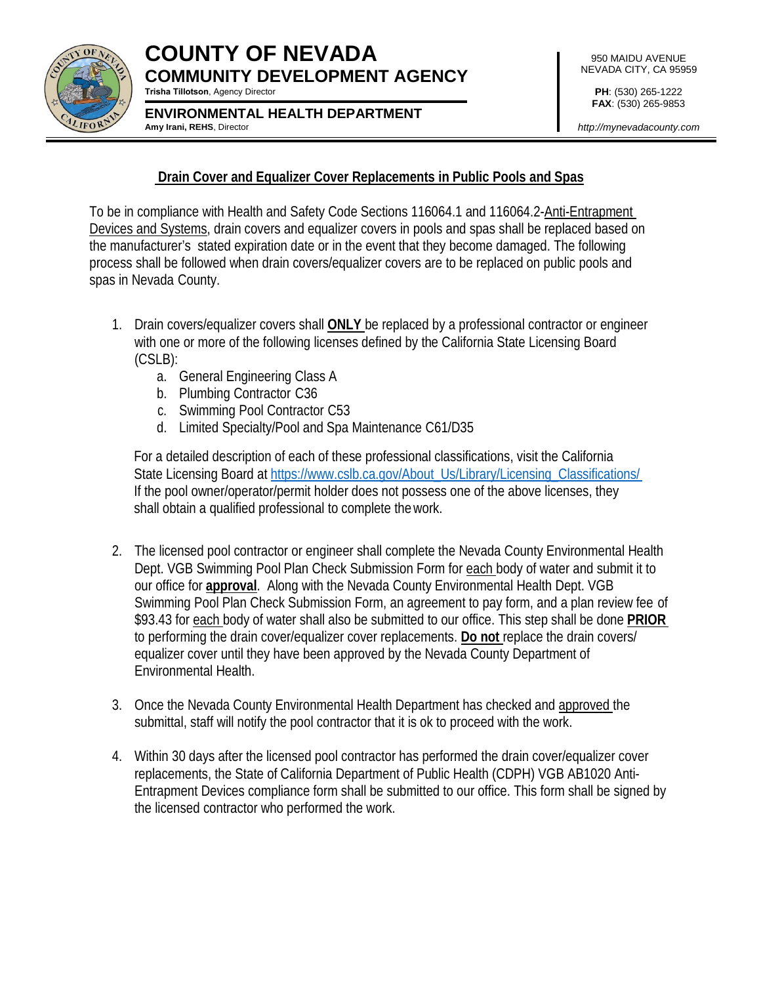

### **COUNTY OF NEVADA COMMUNITY DEVELOPMENT AGENCY Trisha Tillotson**, Agency Director

**ENVIRONMENTAL HEALTH DEPARTMENT Amy Irani, REHS**, Director

**PH**: (530) 265-1222 **FAX**: (530) 265-9853

*[http://mynevadacounty.com](http://mynevadacounty.com/)*

### **Drain Cover and Equalizer Cover Replacements in Public Pools and Spas**

To be in compliance with Health and Safety Code Sections 116064.1 and 116064.2-Anti-Entrapment Devices and Systems, drain covers and equalizer covers in pools and spas shall be replaced based on the manufacturer's stated expiration date or in the event that they become damaged. The following process shall be followed when drain covers/equalizer covers are to be replaced on public pools and spas in Nevada County.

- 1. Drain covers/equalizer covers shall **ONLY** be replaced by a professional contractor or engineer with one or more of the following licenses defined by the California State Licensing Board (CSLB):
	- a. General Engineering Class A
	- b. Plumbing Contractor C36
	- c. Swimming Pool Contractor C53
	- d. Limited Specialty/Pool and Spa Maintenance C61/D35

For a detailed description of each of these professional classifications, visit the California State Licensing Board at [https://www.cslb.ca.gov/About\\_Us/Library/Licensing\\_Classifications/](http://www.cslb.ca.gov/About_Us/Library/Licensing_Classifications/) If the pool owner/operator/permit holder does not possess one of the above licenses, they shall obtain a qualified professional to complete thework.

- 2. The licensed pool contractor or engineer shall complete the Nevada County Environmental Health Dept. VGB Swimming Pool Plan Check Submission Form for each body of water and submit it to our office for **approval**. Along with the Nevada County Environmental Health Dept. VGB Swimming Pool Plan Check Submission Form, an agreement to pay form, and a plan review fee of \$93.43 for each body of water shall also be submitted to our office. This step shall be done **PRIOR** to performing the drain cover/equalizer cover replacements. **Do not** replace the drain covers/ equalizer cover until they have been approved by the Nevada County Department of Environmental Health.
- 3. Once the Nevada County Environmental Health Department has checked and approved the submittal, staff will notify the pool contractor that it is ok to proceed with the work.
- 4. Within 30 days after the licensed pool contractor has performed the drain cover/equalizer cover replacements, the State of California Department of Public Health (CDPH) VGB AB1020 Anti-Entrapment Devices compliance form shall be submitted to our office. This form shall be signed by the licensed contractor who performed the work.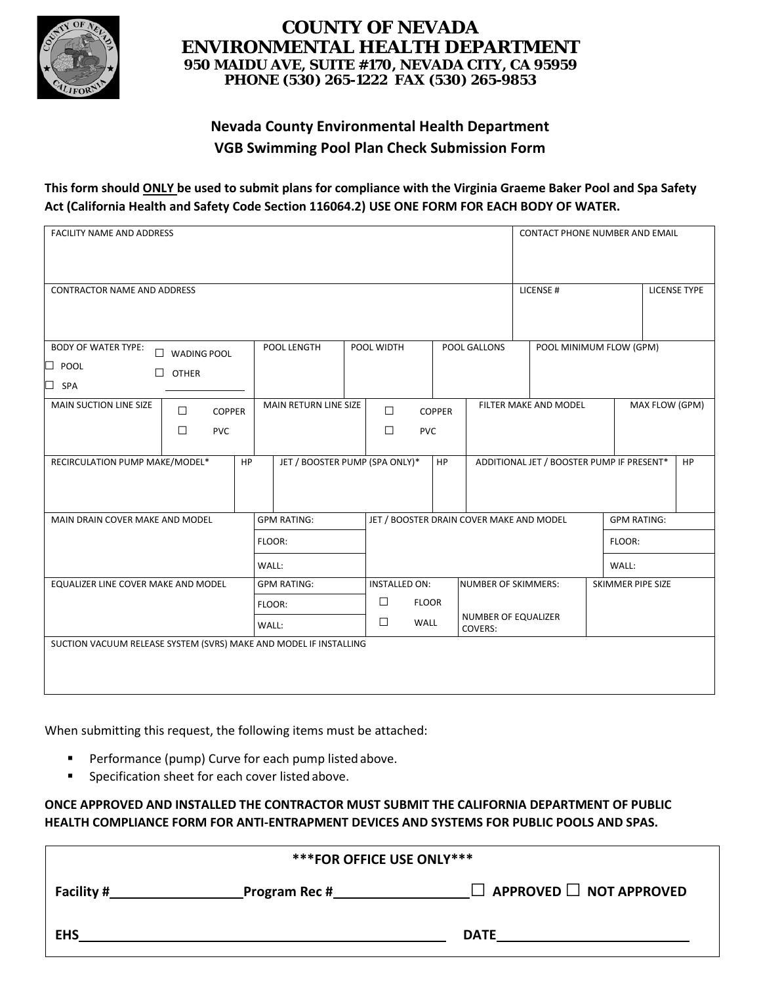

### **COUNTY OF NEVADA ENVIRONMENTAL HEALTH DEPARTMENT 950 MAIDU AVE, SUITE #170, NEVADA CITY, CA 95959 PHONE (530) 265-1222 FAX (530) 265-9853**

# **Nevada County Environmental Health Department VGB Swimming Pool Plan Check Submission Form**

### **This form should ONLY be used to submit plans for compliance with the Virginia Graeme Baker Pool and Spa Safety Act (California Health and Safety Code Section 116064.2) USE ONE FORM FOR EACH BODY OF WATER.**

| FACILITY NAME AND ADDRESS                                                       |                                                 |    |                                |                                          |                                |               |                            |                                         | CONTACT PHONE NUMBER AND EMAIL            |                          |  |  |                     |
|---------------------------------------------------------------------------------|-------------------------------------------------|----|--------------------------------|------------------------------------------|--------------------------------|---------------|----------------------------|-----------------------------------------|-------------------------------------------|--------------------------|--|--|---------------------|
| <b>CONTRACTOR NAME AND ADDRESS</b>                                              |                                                 |    |                                |                                          |                                |               |                            |                                         | LICENSE #                                 |                          |  |  | <b>LICENSE TYPE</b> |
| <b>BODY OF WATER TYPE:</b><br>$\Box$<br>$\Box$ POOL<br>$\perp$<br>$\square$ SPA | <b>WADING POOL</b><br><b>OTHER</b>              |    | POOL LENGTH                    |                                          | POOL WIDTH                     |               | POOL GALLONS               |                                         | POOL MINIMUM FLOW (GPM)                   |                          |  |  |                     |
| MAIN SUCTION LINE SIZE                                                          | $\Box$<br><b>COPPER</b><br>$\Box$<br><b>PVC</b> |    | MAIN RETURN LINE SIZE          |                                          | $\Box$<br>$\Box$<br><b>PVC</b> | <b>COPPER</b> |                            | FILTER MAKE AND MODEL<br>MAX FLOW (GPM) |                                           |                          |  |  |                     |
| RECIRCULATION PUMP MAKE/MODEL*                                                  |                                                 | HP | JET / BOOSTER PUMP (SPA ONLY)* |                                          |                                | <b>HP</b>     |                            |                                         | ADDITIONAL JET / BOOSTER PUMP IF PRESENT* |                          |  |  | <b>HP</b>           |
| MAIN DRAIN COVER MAKE AND MODEL                                                 |                                                 |    | <b>GPM RATING:</b>             | JET / BOOSTER DRAIN COVER MAKE AND MODEL |                                |               |                            |                                         |                                           | <b>GPM RATING:</b>       |  |  |                     |
|                                                                                 |                                                 |    | FLOOR:                         |                                          |                                |               |                            |                                         |                                           | FLOOR:                   |  |  |                     |
| WALL:                                                                           |                                                 |    |                                |                                          |                                |               |                            |                                         | WALL:                                     |                          |  |  |                     |
| EQUALIZER LINE COVER MAKE AND MODEL                                             |                                                 |    | <b>GPM RATING:</b>             |                                          | <b>INSTALLED ON:</b>           |               | <b>NUMBER OF SKIMMERS:</b> |                                         |                                           | <b>SKIMMER PIPE SIZE</b> |  |  |                     |
|                                                                                 |                                                 |    | FLOOR:                         |                                          | $\Box$<br><b>FLOOR</b>         |               |                            |                                         |                                           |                          |  |  |                     |
|                                                                                 |                                                 |    | WALL:                          |                                          | $\Box$<br><b>WALL</b>          |               | COVERS:                    | NUMBER OF EQUALIZER                     |                                           |                          |  |  |                     |
| SUCTION VACUUM RELEASE SYSTEM (SVRS) MAKE AND MODEL IF INSTALLING               |                                                 |    |                                |                                          |                                |               |                            |                                         |                                           |                          |  |  |                     |

When submitting this request, the following items must be attached:

- **Performance (pump) Curve for each pump listed above.**
- **Specification sheet for each cover listed above.**

### **ONCE APPROVED AND INSTALLED THE CONTRACTOR MUST SUBMIT THE CALIFORNIA DEPARTMENT OF PUBLIC HEALTH COMPLIANCE FORM FOR ANTI-ENTRAPMENT DEVICES AND SYSTEMS FOR PUBLIC POOLS AND SPAS.**

| *** FOR OFFICE USE ONLY*** |  |      |  |  |
|----------------------------|--|------|--|--|
| Facility #_                |  |      |  |  |
| <b>EHS</b>                 |  | DATE |  |  |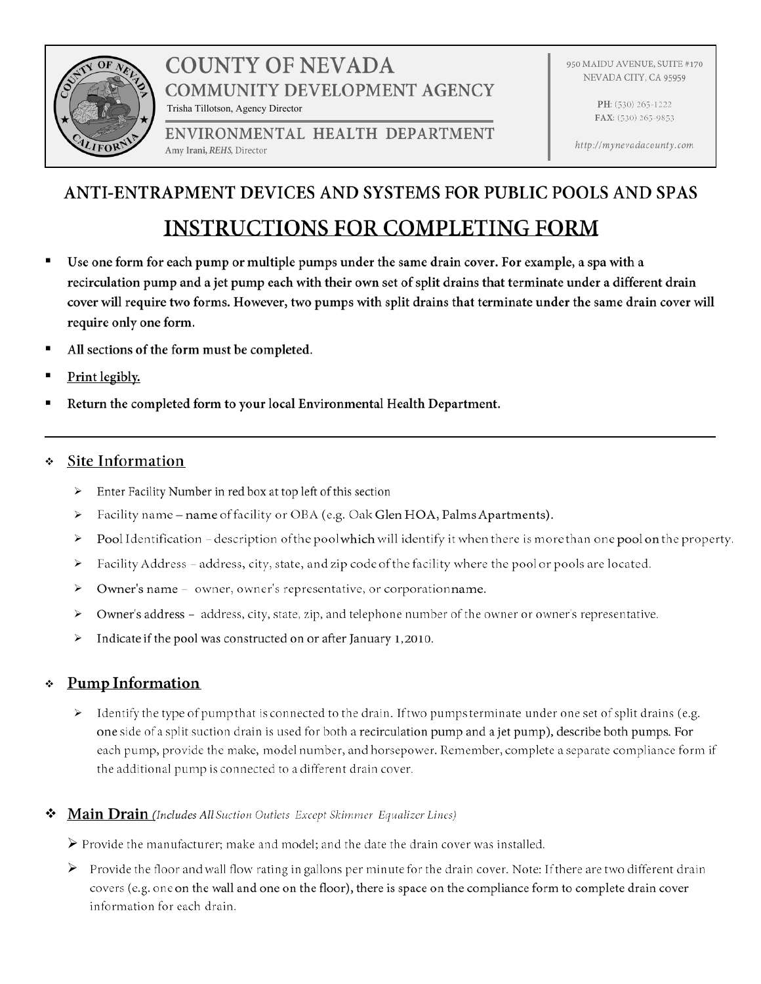

# **COUNTY OF NEVADA COMMUNITY DEVELOPMENT AGENCY** Trisha Tillotson, Agency Director

ENVIRONMENTAL HEALTH DEPARTMENT Amy Irani, REHS, Director

950 MAIDU AVENUE, SUITE #170 NEVADA CITY, CA 95959

> PH: (530) 265-1222 FAX: (530) 265-9853

http://mynevadacounty.com

# ANTI-ENTRAPMENT DEVICES AND SYSTEMS FOR PUBLIC POOLS AND SPAS **INSTRUCTIONS FOR COMPLETING FORM**

- $\blacksquare$ recirculation pump and a jet pump each with their own set of split drains that terminate under a different drain cover will require two forms. However, two pumps with split drains that terminate under the same drain cover will require only one form.
- All sections of the form must be completed. п
- $\blacksquare$
- . Return the completed form to your local Environmental Health Department.

### Site Information

- > Enter Facility Number in red box at top left of this section
- Facility name name of facility or OBA (e.g. Oak Glen HOA, Palms Apartments).  $\blacktriangleright$
- $\blacktriangleright$ Pool Identification - description of the pool which will identify it when there is more than one pool on the property.
- Facility Address address, city, state, and zip code of the facility where the pool or pools are located.  $\blacktriangleright$
- Owner's name owner, owner's representative, or corporationname.  $\blacktriangleright$
- $\blacktriangleright$ Owner's address - address, city, state, zip, and telephone number of the owner or owner's representative.
- Indicate if the pool was constructed on or after January 1,2010.  $\blacktriangleright$

## \* Pump Information

 $\triangleright$  Identify the type of pump that is connected to the drain. If two pumps terminate under one set of split drains (e.g. one side of a split suction drain is used for both a recirculation pump and a jet pump), describe both pumps. For each pump, provide the make, model number, and horsepower. Remember, complete a separate compliance form if the additional pump is connected to a different drain cover.

### Main Drain (Includes All Suction Outlets Except Skimmer Equalizer Lines)

 $\triangleright$  Provide the manufacturer; make and model; and the date the drain cover was installed.

 $\triangleright$  Provide the floor and wall flow rating in gallons per minute for the drain cover. Note: If there are two different drain covers (e.g. one on the wall and one on the floor), there is space on the compliance form to complete drain cover information for each drain.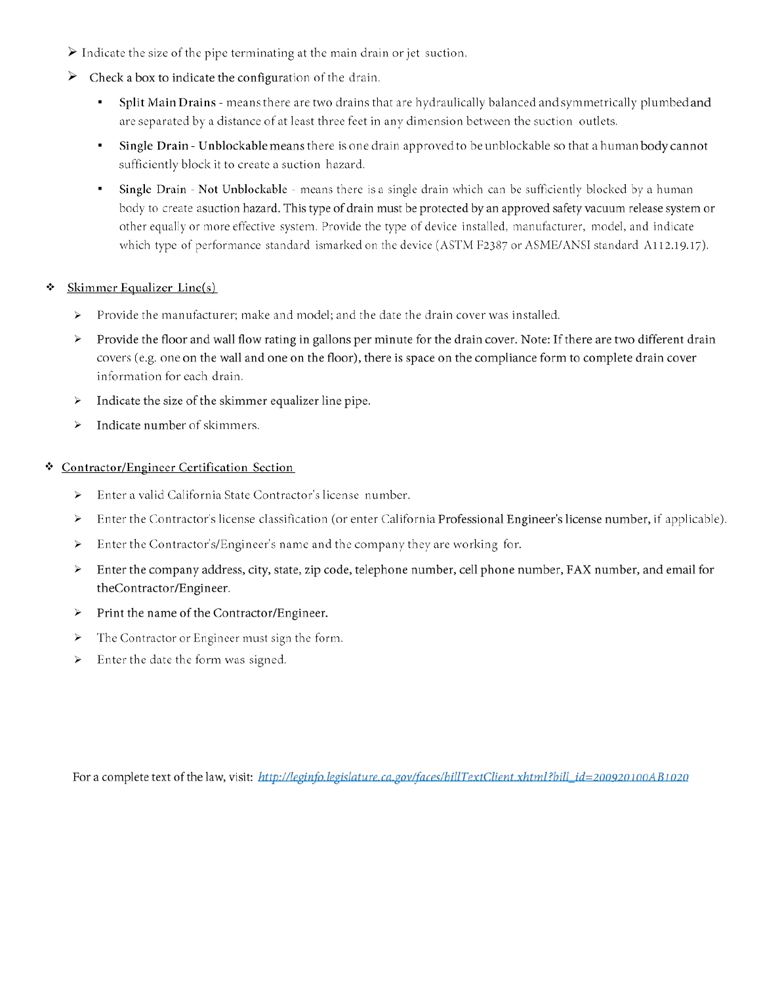- $\triangleright$  Indicate the size of the pipe terminating at the main drain or jet suction.
- $\triangleright$  Check a box to indicate the configuration of the drain.
	- Split Main Drains means there are two drains that are hydraulically balanced and symmetrically plumbed and are separated by a distance of at least three feet in any dimension between the suction outlets.
	- Single Drain Unblockable means there is one drain approved to be unblockable so that a human body cannot sufficiently block it to create a suction hazard.
	- Single Drain Not Unblockable means there is a single drain which can be sufficiently blocked by a human  $\mathbf{m}$  . body to create asuction hazard. This type of drain must be protected by an approved safety vacuum release system or other equally or more effective system. Provide the type of device installed, manufacturer, model, and indicate which type of performance standard ismarked on the device (ASTM F2387 or ASME/ANSI standard A112.19.17).

#### Skimmer Equalizer Line(s) ❖

- > Provide the manufacturer; make and model; and the date the drain cover was installed.
- > Provide the floor and wall flow rating in gallons per minute for the drain cover. Note: If there are two different drain covers (e.g. one on the wall and one on the floor), there is space on the compliance form to complete drain cover information for each drain.
- $\triangleright$  Indicate the size of the skimmer equalizer line pipe.
- Indicate number of skimmers.  $\blacktriangleright$

#### **Contractor/Engineer Certification Section** ❖

- Enter a valid California State Contractor's license number.  $\blacktriangleright$
- Enter the Contractor's license classification (or enter California Professional Engineer's license number, if applicable).  $\blacktriangleright$
- Enter the Contractor's/Engineer's name and the company they are working for.  $\blacktriangleright$
- > Enter the company address, city, state, zip code, telephone number, cell phone number, FAX number, and email for theContractor/Engineer.
- Print the name of the Contractor/Engineer.  $\blacktriangleright$
- The Contractor or Engineer must sign the form.  $\blacktriangleright$
- Enter the date the form was signed.  $\blacktriangleright$

For a complete text of the law, visit: http://leginfo.legislature.ca.gov/faces/billTextClient.xhtml?bill\_id=200920100AB1020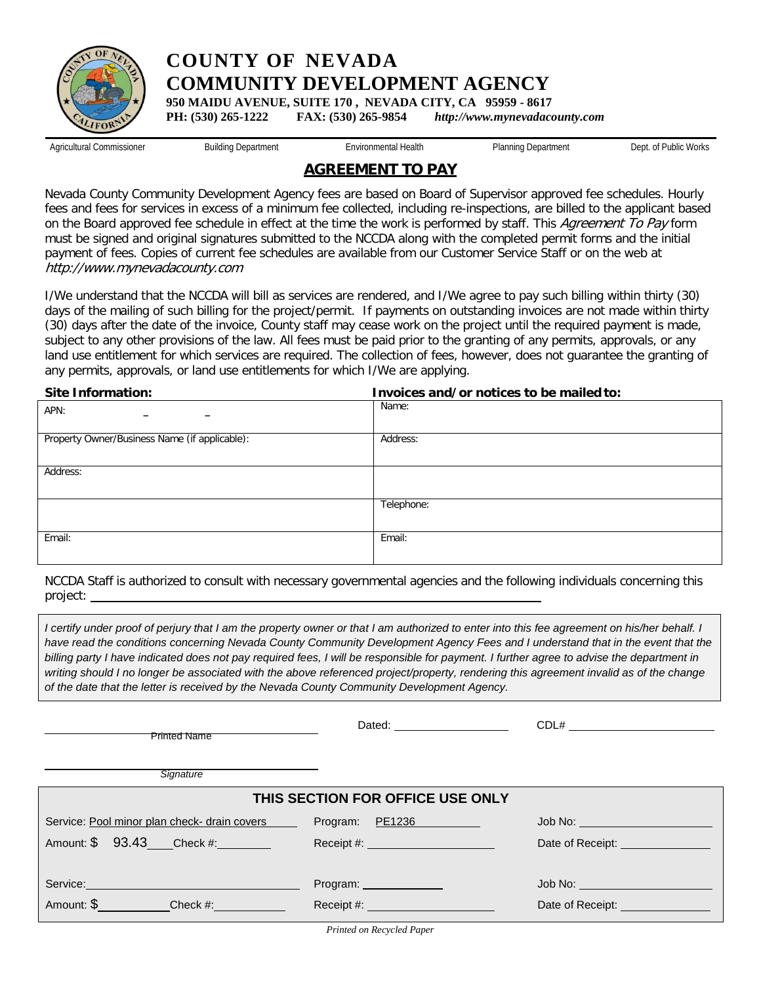

**COUNTY OF NEVADA COMMUNITY DEVELOPMENT AGENCY**

**950 MAIDU AVENUE, SUITE 170 , NEVADA CITY, CA 95959 - 8617** 

**PH: (530) 265-1222 FAX: (530) 265-9854** *[http://www.mynevadacounty.com](http://www.mynevadacounty.com/)*

Agricultural Commissioner **Building Department** Environmental Health

Planning Department Dept. of Public Works

### **AGREEMENT TO PAY**

Nevada County Community Development Agency fees are based on Board of Supervisor approved fee schedules. Hourly fees and fees for services in excess of a minimum fee collected, including re-inspections, are billed to the applicant based on the Board approved fee schedule in effect at the time the work is performed by staff. This Agreement To Pay form must be signed and original signatures submitted to the NCCDA along with the completed permit forms and the initial payment of fees. Copies of current fee schedules are available from our Customer Service Staff or on the web at [http://www.mynevadacounty.com](http://www.mynevadacounty.com/)

I/We understand that the NCCDA will bill as services are rendered, and I/We agree to pay such billing within thirty (30) days of the mailing of such billing for the project/permit. If payments on outstanding invoices are not made within thirty (30) days after the date of the invoice, County staff may cease work on the project until the required payment is made, subject to any other provisions of the law. All fees must be paid prior to the granting of any permits, approvals, or any land use entitlement for which services are required. The collection of fees, however, does not guarantee the granting of any permits, approvals, or land use entitlements for which I/We are applying.

| <b>Site Information:</b>                      | Invoices and/or notices to be mailed to: |  |  |  |  |
|-----------------------------------------------|------------------------------------------|--|--|--|--|
| APN:<br>-                                     | Name:                                    |  |  |  |  |
| Property Owner/Business Name (if applicable): | Address:                                 |  |  |  |  |
| Address:                                      |                                          |  |  |  |  |
|                                               | Telephone:                               |  |  |  |  |
| Email:                                        | Email:                                   |  |  |  |  |

NCCDA Staff is authorized to consult with necessary governmental agencies and the following individuals concerning this project:

*I certify under proof of perjury that I am the property owner or that I am authorized to enter into this fee agreement on his/her behalf. I* have read the conditions concerning Nevada County Community Development Agency Fees and I understand that in the event that the *billing party I have indicated does not pay required fees, I will be responsible for payment. I further agree to advise the department in*  writing should I no longer be associated with the above referenced project/property, rendering this agreement invalid as of the change *of the date that the letter is received by the Nevada County Community Development Agency.*

| <b>Printed Name</b>                          | Dated: <b>Example 20</b>                                                                                                                                                                                                       | CDL#                                                    |
|----------------------------------------------|--------------------------------------------------------------------------------------------------------------------------------------------------------------------------------------------------------------------------------|---------------------------------------------------------|
| Signature                                    |                                                                                                                                                                                                                                |                                                         |
|                                              | THIS SECTION FOR OFFICE USE ONLY                                                                                                                                                                                               |                                                         |
| Service: Pool minor plan check- drain covers | Program: PE1236                                                                                                                                                                                                                | Job No: ________________________                        |
| Amount: \$ 93.43 Check #:                    | Receipt#: All and the state of the state of the state of the state of the state of the state of the state of the state of the state of the state of the state of the state of the state of the state of the state of the state | Date of Receipt: <b>Example 2014</b>                    |
|                                              |                                                                                                                                                                                                                                |                                                         |
| Service: New York Service:                   | Program: 2008                                                                                                                                                                                                                  | Job No: _______________________                         |
| Amount: \$<br>Check #:                       | Receipt#: Website and Contract the Contract of the Contract of the Contract of the Contract of the Contract of the Contract of the Contract of the Contract of the Contract of the Contract of the Contract of the Contract of | Date of Receipt: <b>contains the Contract of Accept</b> |

*Printed on Recycled Paper*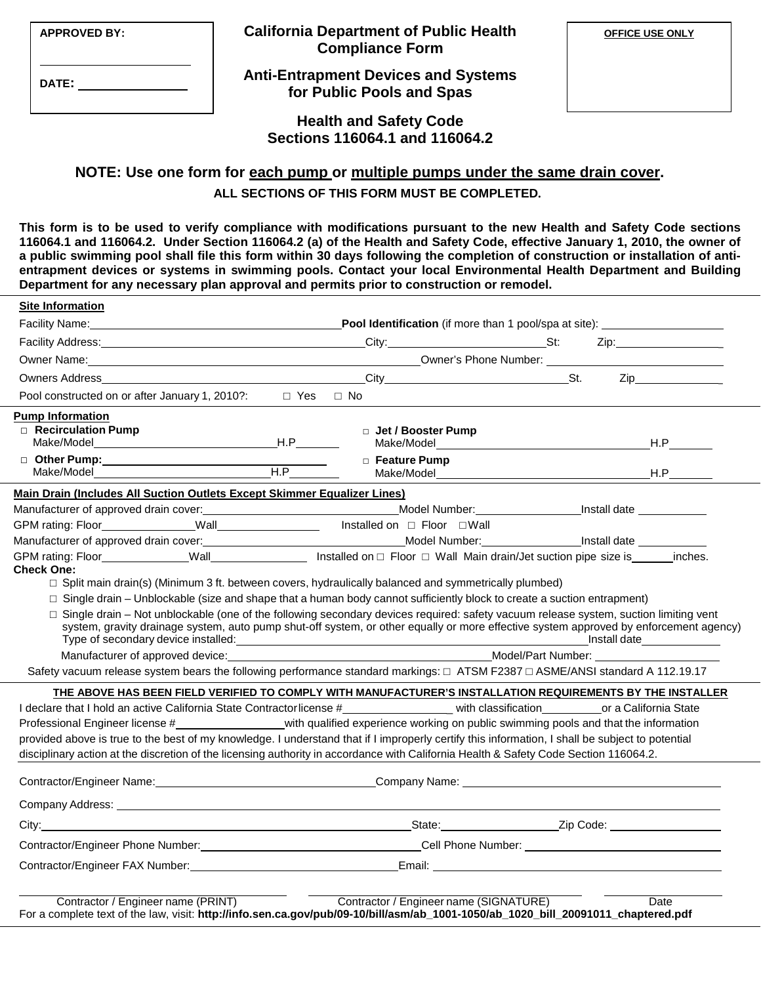| <b>APPROVED BY:</b> | <b>California Department of Public Health</b><br><b>Compliance Form</b> | <b>OFFICE USE ONLY</b> |
|---------------------|-------------------------------------------------------------------------|------------------------|
| <b>DATE:</b>        | <b>Anti-Entrapment Devices and Systems</b><br>for Public Pools and Spas |                        |
|                     | <b>Health and Safety Code</b><br>Sections 116064.1 and 116064.2         |                        |

### **NOTE: Use one form for each pump or multiple pumps under the same drain cover. ALL SECTIONS OF THIS FORM MUST BE COMPLETED.**

**This form is to be used to verify compliance with modifications pursuant to the new Health and Safety Code sections 116064.1 and 116064.2. Under Section 116064.2 (a) of the Health and Safety Code, effective January 1, 2010, the owner of a public swimming pool shall file this form within 30 days following the completion of construction or installation of antientrapment devices or systems in swimming pools. Contact your local Environmental Health Department and Building Department for any necessary plan approval and permits prior to construction or remodel.**

| Facility Name: Manual According to the Contract of the Contract of the Contract of the Contract of the Contract of the Contract of the Contract of the Contract of the Contract of the Contract of the Contract of the Contrac<br>Facility Address: No. 1996. The Contract of the Contract of the Contract of the Contract of the Contract of the Contract of the Contract of the Contract of the Contract of the Contract of the Contract of the Contract of th |                             |                                                                                                                                                                                                                                                                                 |
|------------------------------------------------------------------------------------------------------------------------------------------------------------------------------------------------------------------------------------------------------------------------------------------------------------------------------------------------------------------------------------------------------------------------------------------------------------------|-----------------------------|---------------------------------------------------------------------------------------------------------------------------------------------------------------------------------------------------------------------------------------------------------------------------------|
|                                                                                                                                                                                                                                                                                                                                                                                                                                                                  |                             | <b>Pool Identification</b> (if more than 1 pool/spa at site): _________________________                                                                                                                                                                                         |
|                                                                                                                                                                                                                                                                                                                                                                                                                                                                  |                             | Zip:                                                                                                                                                                                                                                                                            |
|                                                                                                                                                                                                                                                                                                                                                                                                                                                                  |                             |                                                                                                                                                                                                                                                                                 |
|                                                                                                                                                                                                                                                                                                                                                                                                                                                                  |                             |                                                                                                                                                                                                                                                                                 |
| Pool constructed on or after January 1, 2010?: $\square$ Yes $\square$ No                                                                                                                                                                                                                                                                                                                                                                                        |                             |                                                                                                                                                                                                                                                                                 |
| <b>Pump Information</b><br>$\Box$ Recirculation Pump                                                                                                                                                                                                                                                                                                                                                                                                             | □ Jet / Booster Pump        | Make/Model National Accounts and Accounts and Accounts and Accounts and Accounts and Accounts and Accounts and                                                                                                                                                                  |
|                                                                                                                                                                                                                                                                                                                                                                                                                                                                  | □ Feature Pump<br>H.P       |                                                                                                                                                                                                                                                                                 |
| Main Drain (Includes All Suction Outlets Except Skimmer Equalizer Lines)                                                                                                                                                                                                                                                                                                                                                                                         |                             |                                                                                                                                                                                                                                                                                 |
|                                                                                                                                                                                                                                                                                                                                                                                                                                                                  |                             |                                                                                                                                                                                                                                                                                 |
|                                                                                                                                                                                                                                                                                                                                                                                                                                                                  | Installed on □ Floor □ Wall |                                                                                                                                                                                                                                                                                 |
|                                                                                                                                                                                                                                                                                                                                                                                                                                                                  |                             |                                                                                                                                                                                                                                                                                 |
| <b>Check One:</b>                                                                                                                                                                                                                                                                                                                                                                                                                                                |                             |                                                                                                                                                                                                                                                                                 |
| $\Box$ Split main drain(s) (Minimum 3 ft. between covers, hydraulically balanced and symmetrically plumbed)                                                                                                                                                                                                                                                                                                                                                      |                             |                                                                                                                                                                                                                                                                                 |
| $\Box$ Single drain – Unblockable (size and shape that a human body cannot sufficiently block to create a suction entrapment)                                                                                                                                                                                                                                                                                                                                    |                             |                                                                                                                                                                                                                                                                                 |
|                                                                                                                                                                                                                                                                                                                                                                                                                                                                  |                             | □ Single drain – Not unblockable (one of the following secondary devices required: safety vacuum release system, suction limiting vent<br>system, gravity drainage system, auto pump shut-off system, or other equally or more effective system approved by enforcement agency) |
| Manufacturer of approved device: example and the set of approved device: example and the set of approved device:                                                                                                                                                                                                                                                                                                                                                 |                             |                                                                                                                                                                                                                                                                                 |
| Safety vacuum release system bears the following performance standard markings: □ ATSM F2387 □ ASME/ANSI standard A 112.19.17                                                                                                                                                                                                                                                                                                                                    |                             |                                                                                                                                                                                                                                                                                 |
|                                                                                                                                                                                                                                                                                                                                                                                                                                                                  |                             | THE ABOVE HAS BEEN FIELD VERIFIED TO COMPLY WITH MANUFACTURER'S INSTALLATION REQUIREMENTS BY THE INSTALLER                                                                                                                                                                      |
|                                                                                                                                                                                                                                                                                                                                                                                                                                                                  |                             |                                                                                                                                                                                                                                                                                 |
| Professional Engineer license #______________________with qualified experience working on public swimming pools and that the information                                                                                                                                                                                                                                                                                                                         |                             |                                                                                                                                                                                                                                                                                 |
|                                                                                                                                                                                                                                                                                                                                                                                                                                                                  |                             |                                                                                                                                                                                                                                                                                 |
| provided above is true to the best of my knowledge. I understand that if I improperly certify this information, I shall be subject to potential                                                                                                                                                                                                                                                                                                                  |                             |                                                                                                                                                                                                                                                                                 |
| disciplinary action at the discretion of the licensing authority in accordance with California Health & Safety Code Section 116064.2.                                                                                                                                                                                                                                                                                                                            |                             |                                                                                                                                                                                                                                                                                 |
| Contractor/Engineer Name: Company Name: Company Name: Company Name: Company Name: Contractor/Engineer Name: Company Name: Company Name: Company Name: Company Name: Company Name: Company Name: Company Name: Company Name: Co                                                                                                                                                                                                                                   |                             |                                                                                                                                                                                                                                                                                 |
|                                                                                                                                                                                                                                                                                                                                                                                                                                                                  |                             |                                                                                                                                                                                                                                                                                 |
|                                                                                                                                                                                                                                                                                                                                                                                                                                                                  |                             |                                                                                                                                                                                                                                                                                 |
| Contractor/Engineer Phone Number: Contractor/Engineer Phone Number:                                                                                                                                                                                                                                                                                                                                                                                              |                             |                                                                                                                                                                                                                                                                                 |